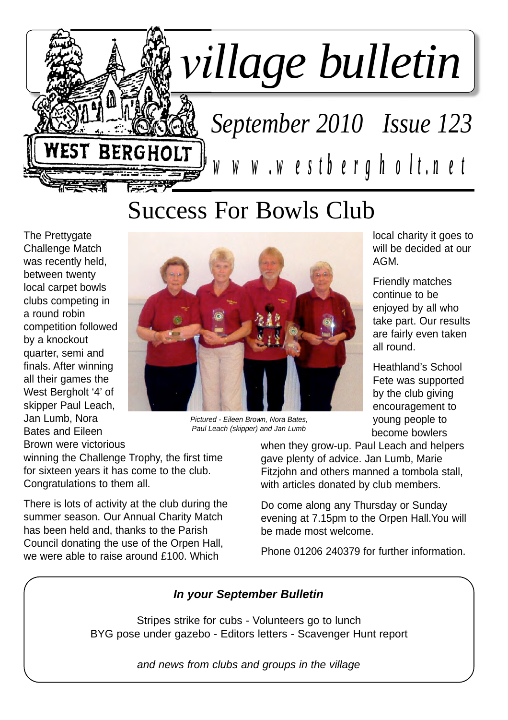

Success For Bowls Club

The Prettygate Challenge Match was recently held, between twenty local carpet bowls clubs competing in a round robin competition followed by a knockout quarter, semi and finals. After winning all their games the West Bergholt '4' of skipper Paul Leach, Jan Lumb, Nora Bates and Eileen Brown were victorious



*Pictured - Eileen Brown, Nora Bates, Paul Leach (skipper) and Jan Lumb*

local charity it goes to will be decided at our AGM.

Friendly matches continue to be enjoyed by all who take part. Our results are fairly even taken all round.

Heathland's School Fete was supported by the club giving encouragement to young people to become bowlers

winning the Challenge Trophy, the first time for sixteen years it has come to the club. Congratulations to them all.

There is lots of activity at the club during the summer season. Our Annual Charity Match has been held and, thanks to the Parish Council donating the use of the Orpen Hall, we were able to raise around £100. Which

when they grow-up. Paul Leach and helpers gave plenty of advice. Jan Lumb, Marie Fitzjohn and others manned a tombola stall, with articles donated by club members.

Do come along any Thursday or Sunday evening at 7.15pm to the Orpen Hall.You will be made most welcome.

Phone 01206 240379 for further information.

### *In your September Bulletin*

Stripes strike for cubs - Volunteers go to lunch BYG pose under gazebo - Editors letters - Scavenger Hunt report

*and news from clubs and groups in the village*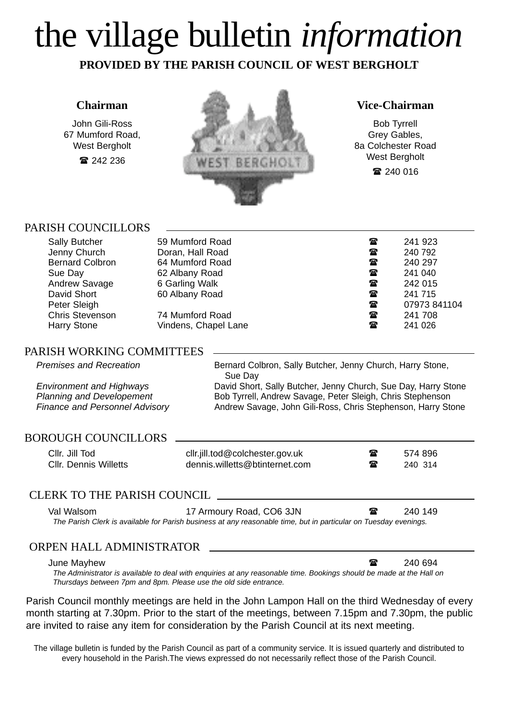# the village bulletin *information*

**PROVIDED BY THE PARISH COUNCIL OF WEST BERGHOLT**

### **Chairman**

John Gili-Ross 67 Mumford Road, West Bergholt ■ 242 236



#### **Vice-Chairman**

Bob Tyrrell Grey Gables, 8a Colchester Road West Bergholt

■ 240 016

### PARISH COUNCILLORS

| <b>Sally Butcher</b><br>Jenny Church<br><b>Bernard Colbron</b><br>Sue Day<br>Andrew Savage<br>David Short<br>Peter Sleigh | 59 Mumford Road<br>Doran, Hall Road<br>64 Mumford Road<br>62 Albany Road<br>6 Garling Walk<br>60 Albany Road | 鴌<br>$\mathbf{r}$<br>☎<br>$\mathbf{r}$<br>☎<br>$\mathbf{r}$<br>$\mathbf{r}$ | 241 923<br>240 792<br>240 297<br>241 040<br>242 015<br>241 715<br>07973 841104 |
|---------------------------------------------------------------------------------------------------------------------------|--------------------------------------------------------------------------------------------------------------|-----------------------------------------------------------------------------|--------------------------------------------------------------------------------|
| <b>Chris Stevenson</b>                                                                                                    | 74 Mumford Road                                                                                              | $\mathbf{r}$                                                                | 241 708                                                                        |
| <b>Harry Stone</b>                                                                                                        | Vindens, Chapel Lane                                                                                         | $\mathbf{r}$                                                                | 241 026                                                                        |

### PARISH WORKING COMMITTEES

*Premises and Recreation* **Bernard Colbron, Sally Butcher, Jenny Church, Harry Stone,** Sue Day

*Environment and Highways* David Short, Sally Butcher, Jenny Church, Sue Day, Harry Stone *Planning and Developement* Bob Tyrrell, Andrew Savage, Peter Sleigh, Chris Stephenson *Finance and Personnel Advisory* **Andrew Savage, John Gili-Ross, Chris Stephenson, Harry Stone** 

#### BOROUGH COUNCILLORS

Cllr. Jill Tod cllr.jill.tod@colchester.gov.uk 1 1 574 896 Cllr. Dennis Willetts **dennis.willetts@btinternet.com** 240 314

### CLERK TO THE PARISH COUNCIL

Val Walsom **17 Armoury Road, CO6 3JN 17 Armoury Road, CO6 3JN 240 149** 

*The Parish Clerk is available for Parish business at any reasonable time, but in particular on Tuesday evenings.*

### ORPEN HALL ADMINISTRATOR

#### June Mayhew **240 694 240 694**

*The Administrator is available to deal with enquiries at any reasonable time. Bookings should be made at the Hall on Thursdays between 7pm and 8pm. Please use the old side entrance.*

Parish Council monthly meetings are held in the John Lampon Hall on the third Wednesday of every month starting at 7.30pm. Prior to the start of the meetings, between 7.15pm and 7.30pm, the public are invited to raise any item for consideration by the Parish Council at its next meeting.

The village bulletin is funded by the Parish Council as part of a community service. It is issued quarterly and distributed to every household in the Parish.The views expressed do not necessarily reflect those of the Parish Council.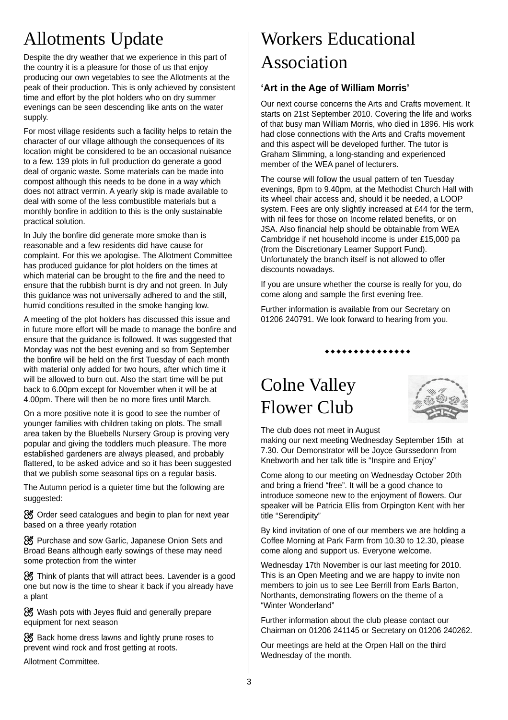# Allotments Update

Despite the dry weather that we experience in this part of the country it is a pleasure for those of us that enjoy producing our own vegetables to see the Allotments at the peak of their production. This is only achieved by consistent time and effort by the plot holders who on dry summer evenings can be seen descending like ants on the water supply.

For most village residents such a facility helps to retain the character of our village although the consequences of its location might be considered to be an occasional nuisance to a few. 139 plots in full production do generate a good deal of organic waste. Some materials can be made into compost although this needs to be done in a way which does not attract vermin. A yearly skip is made available to deal with some of the less combustible materials but a monthly bonfire in addition to this is the only sustainable practical solution.

In July the bonfire did generate more smoke than is reasonable and a few residents did have cause for complaint. For this we apologise. The Allotment Committee has produced guidance for plot holders on the times at which material can be brought to the fire and the need to ensure that the rubbish burnt is dry and not green. In July this guidance was not universally adhered to and the still, humid conditions resulted in the smoke hanging low.

A meeting of the plot holders has discussed this issue and in future more effort will be made to manage the bonfire and ensure that the guidance is followed. It was suggested that Monday was not the best evening and so from September the bonfire will be held on the first Tuesday of each month with material only added for two hours, after which time it will be allowed to burn out. Also the start time will be put back to 6.00pm except for November when it will be at 4.00pm. There will then be no more fires until March.

On a more positive note it is good to see the number of younger families with children taking on plots. The small area taken by the Bluebells Nursery Group is proving very popular and giving the toddlers much pleasure. The more established gardeners are always pleased, and probably flattered, to be asked advice and so it has been suggested that we publish some seasonal tips on a regular basis.

The Autumn period is a quieter time but the following are suggested:

& Order seed catalogues and begin to plan for next year based on a three yearly rotation

& Purchase and sow Garlic, Japanese Onion Sets and Broad Beans although early sowings of these may need some protection from the winter

**※** Think of plants that will attract bees. Lavender is a good one but now is the time to shear it back if you already have a plant

& Wash pots with Jeyes fluid and generally prepare equipment for next season

**※** Back home dress lawns and lightly prune roses to prevent wind rock and frost getting at roots.

Allotment Committee.

# Workers Educational Association

### **'Art in the Age of William Morris'**

Our next course concerns the Arts and Crafts movement. It starts on 21st September 2010. Covering the life and works of that busy man William Morris, who died in 1896. His work had close connections with the Arts and Crafts movement and this aspect will be developed further. The tutor is Graham Slimming, a long-standing and experienced member of the WEA panel of lecturers.

The course will follow the usual pattern of ten Tuesday evenings, 8pm to 9.40pm, at the Methodist Church Hall with its wheel chair access and, should it be needed, a LOOP system. Fees are only slightly increased at £44 for the term, with nil fees for those on Income related benefits, or on JSA. Also financial help should be obtainable from WEA Cambridge if net household income is under £15,000 pa (from the Discretionary Learner Support Fund). Unfortunately the branch itself is not allowed to offer discounts nowadays.

If you are unsure whether the course is really for you, do come along and sample the first evening free.

Further information is available from our Secretary on 01206 240791. We look forward to hearing from you.

#### \*\*\*\*\*\*\*\*\*\*\*\*\*

## Colne Valley Flower Club



The club does not meet in August

making our next meeting Wednesday September 15th at 7.30. Our Demonstrator will be Joyce Gurssedonn from Knebworth and her talk title is "Inspire and Enjoy"

Come along to our meeting on Wednesday October 20th and bring a friend "free". It will be a good chance to introduce someone new to the enjoyment of flowers. Our speaker will be Patricia Ellis from Orpington Kent with her title "Serendipity"

By kind invitation of one of our members we are holding a Coffee Morning at Park Farm from 10.30 to 12.30, please come along and support us. Everyone welcome.

Wednesday 17th November is our last meeting for 2010. This is an Open Meeting and we are happy to invite non members to join us to see Lee Berrill from Earls Barton. Northants, demonstrating flowers on the theme of a "Winter Wonderland"

Further information about the club please contact our Chairman on 01206 241145 or Secretary on 01206 240262.

Our meetings are held at the Orpen Hall on the third Wednesday of the month.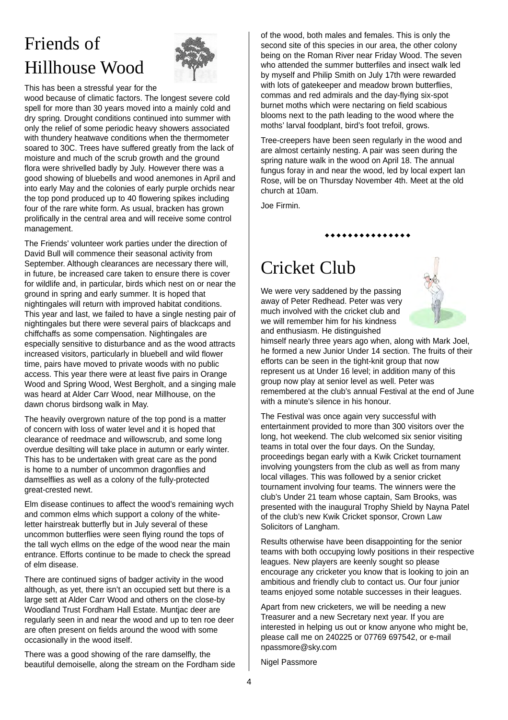# Friends of Hillhouse Wood



This has been a stressful year for the

wood because of climatic factors. The longest severe cold spell for more than 30 years moved into a mainly cold and dry spring. Drought conditions continued into summer with only the relief of some periodic heavy showers associated with thundery heatwave conditions when the thermometer soared to 30C. Trees have suffered greatly from the lack of moisture and much of the scrub growth and the ground flora were shrivelled badly by July. However there was a good showing of bluebells and wood anemones in April and into early May and the colonies of early purple orchids near the top pond produced up to 40 flowering spikes including four of the rare white form. As usual, bracken has grown prolifically in the central area and will receive some control management.

The Friends' volunteer work parties under the direction of David Bull will commence their seasonal activity from September. Although clearances are necessary there will, in future, be increased care taken to ensure there is cover for wildlife and, in particular, birds which nest on or near the ground in spring and early summer. It is hoped that nightingales will return with improved habitat conditions. This year and last, we failed to have a single nesting pair of nightingales but there were several pairs of blackcaps and chiffchaffs as some compensation. Nightingales are especially sensitive to disturbance and as the wood attracts increased visitors, particularly in bluebell and wild flower time, pairs have moved to private woods with no public access. This year there were at least five pairs in Orange Wood and Spring Wood, West Bergholt, and a singing male was heard at Alder Carr Wood, near Millhouse, on the dawn chorus birdsong walk in May.

The heavily overgrown nature of the top pond is a matter of concern with loss of water level and it is hoped that clearance of reedmace and willowscrub, and some long overdue desilting will take place in autumn or early winter. This has to be undertaken with great care as the pond is home to a number of uncommon dragonflies and damselflies as well as a colony of the fully-protected great-crested newt.

Elm disease continues to affect the wood's remaining wych and common elms which support a colony of the whiteletter hairstreak butterfly but in July several of these uncommon butterflies were seen flying round the tops of the tall wych ellms on the edge of the wood near the main entrance. Efforts continue to be made to check the spread of elm disease.

There are continued signs of badger activity in the wood although, as yet, there isn't an occupied sett but there is a large sett at Alder Carr Wood and others on the close-by Woodland Trust Fordham Hall Estate. Muntjac deer are regularly seen in and near the wood and up to ten roe deer are often present on fields around the wood with some occasionally in the wood itself.

There was a good showing of the rare damselfly, the beautiful demoiselle, along the stream on the Fordham side of the wood, both males and females. This is only the second site of this species in our area, the other colony being on the Roman River near Friday Wood. The seven who attended the summer butterfiles and insect walk led by myself and Philip Smith on July 17th were rewarded with lots of gatekeeper and meadow brown butterflies, commas and red admirals and the day-flying six-spot burnet moths which were nectaring on field scabious blooms next to the path leading to the wood where the moths' larval foodplant, bird's foot trefoil, grows.

Tree-creepers have been seen regularly in the wood and are almost certainly nesting. A pair was seen during the spring nature walk in the wood on April 18. The annual fungus foray in and near the wood, led by local expert Ian Rose, will be on Thursday November 4th. Meet at the old church at 10am.

\*\*\*\*\*\*\*\*\*\*\*\*

Joe Firmin.

# Cricket Club

We were very saddened by the passing away of Peter Redhead. Peter was very much involved with the cricket club and we will remember him for his kindness and enthusiasm. He distinguished



himself nearly three years ago when, along with Mark Joel, he formed a new Junior Under 14 section. The fruits of their efforts can be seen in the tight-knit group that now represent us at Under 16 level; in addition many of this group now play at senior level as well. Peter was remembered at the club's annual Festival at the end of June with a minute's silence in his honour.

The Festival was once again very successful with entertainment provided to more than 300 visitors over the long, hot weekend. The club welcomed six senior visiting teams in total over the four days. On the Sunday, proceedings began early with a Kwik Cricket tournament involving youngsters from the club as well as from many local villages. This was followed by a senior cricket tournament involving four teams. The winners were the club's Under 21 team whose captain, Sam Brooks, was presented with the inaugural Trophy Shield by Nayna Patel of the club's new Kwik Cricket sponsor, Crown Law Solicitors of Langham.

Results otherwise have been disappointing for the senior teams with both occupying lowly positions in their respective leagues. New players are keenly sought so please encourage any cricketer you know that is looking to join an ambitious and friendly club to contact us. Our four junior teams enjoyed some notable successes in their leagues.

Apart from new cricketers, we will be needing a new Treasurer and a new Secretary next year. If you are interested in helping us out or know anyone who might be, please call me on 240225 or 07769 697542, or e-mail npassmore@sky.com

Nigel Passmore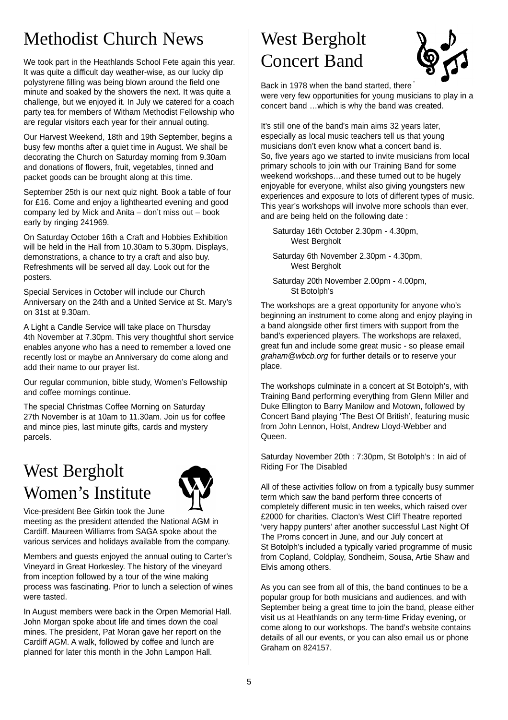### Methodist Church News

We took part in the Heathlands School Fete again this year. It was quite a difficult day weather-wise, as our lucky dip polystyrene filling was being blown around the field one minute and soaked by the showers the next. It was quite a challenge, but we enjoyed it. In July we catered for a coach party tea for members of Witham Methodist Fellowship who are regular visitors each year for their annual outing.

Our Harvest Weekend, 18th and 19th September, begins a busy few months after a quiet time in August. We shall be decorating the Church on Saturday morning from 9.30am and donations of flowers, fruit, vegetables, tinned and packet goods can be brought along at this time.

September 25th is our next quiz night. Book a table of four for £16. Come and enjoy a lighthearted evening and good company led by Mick and Anita – don't miss out – book early by ringing 241969.

On Saturday October 16th a Craft and Hobbies Exhibition will be held in the Hall from 10.30am to 5.30pm. Displays, demonstrations, a chance to try a craft and also buy. Refreshments will be served all day. Look out for the posters.

Special Services in October will include our Church Anniversary on the 24th and a United Service at St. Mary's on 31st at 9.30am.

A Light a Candle Service will take place on Thursday 4th November at 7.30pm. This very thoughtful short service enables anyone who has a need to remember a loved one recently lost or maybe an Anniversary do come along and add their name to our prayer list.

Our regular communion, bible study, Women's Fellowship and coffee mornings continue.

The special Christmas Coffee Morning on Saturday 27th November is at 10am to 11.30am. Join us for coffee and mince pies, last minute gifts, cards and mystery parcels.

### West Bergholt Women's Institute



Vice-president Bee Girkin took the June

meeting as the president attended the National AGM in Cardiff. Maureen Williams from SAGA spoke about the various services and holidays available from the company.

Members and guests enjoyed the annual outing to Carter's Vineyard in Great Horkesley. The history of the vineyard from inception followed by a tour of the wine making process was fascinating. Prior to lunch a selection of wines were tasted.

In August members were back in the Orpen Memorial Hall. John Morgan spoke about life and times down the coal mines. The president, Pat Moran gave her report on the Cardiff AGM. A walk, followed by coffee and lunch are planned for later this month in the John Lampon Hall.

# West Bergholt Concert Band



Back in 1978 when the band started, there were very few opportunities for young musicians to play in a concert band …which is why the band was created.

It's still one of the band's main aims 32 years later, especially as local music teachers tell us that young musicians don't even know what a concert band is. So, five years ago we started to invite musicians from local primary schools to join with our Training Band for some weekend workshops…and these turned out to be hugely enjoyable for everyone, whilst also giving youngsters new experiences and exposure to lots of different types of music. This year's workshops will involve more schools than ever, and are being held on the following date :

Saturday 16th October 2.30pm - 4.30pm, West Bergholt

Saturday 6th November 2.30pm - 4.30pm, West Bergholt

Saturday 20th November 2.00pm - 4.00pm, St Botolph's

The workshops are a great opportunity for anyone who's beginning an instrument to come along and enjoy playing in a band alongside other first timers with support from the band's experienced players. The workshops are relaxed, great fun and include some great music - so please email *graham@wbcb.org* for further details or to reserve your place.

The workshops culminate in a concert at St Botolph's, with Training Band performing everything from Glenn Miller and Duke Ellington to Barry Manilow and Motown, followed by Concert Band playing 'The Best Of British', featuring music from John Lennon, Holst, Andrew Lloyd-Webber and Queen.

Saturday November 20th : 7:30pm, St Botolph's : In aid of Riding For The Disabled

All of these activities follow on from a typically busy summer term which saw the band perform three concerts of completely different music in ten weeks, which raised over £2000 for charities. Clacton's West Cliff Theatre reported 'very happy punters' after another successful Last Night Of The Proms concert in June, and our July concert at St Botolph's included a typically varied programme of music from Copland, Coldplay, Sondheim, Sousa, Artie Shaw and Elvis among others.

As you can see from all of this, the band continues to be a popular group for both musicians and audiences, and with September being a great time to join the band, please either visit us at Heathlands on any term-time Friday evening, or come along to our workshops. The band's website contains details of all our events, or you can also email us or phone Graham on 824157.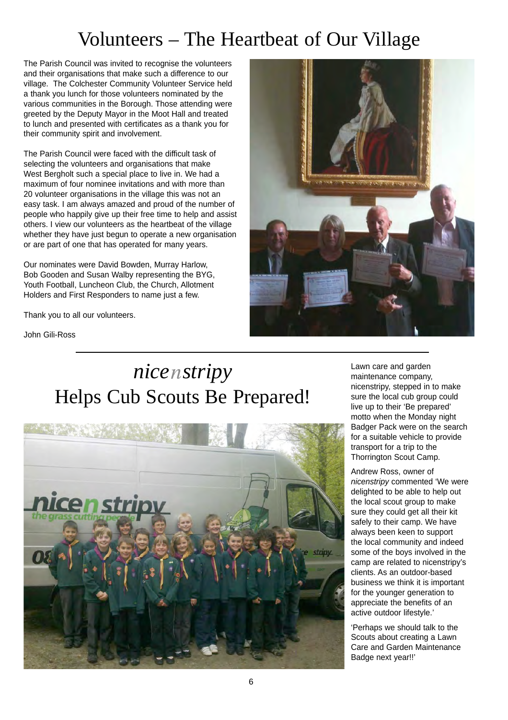## Volunteers – The Heartbeat of Our Village

The Parish Council was invited to recognise the volunteers and their organisations that make such a difference to our village. The Colchester Community Volunteer Service held a thank you lunch for those volunteers nominated by the various communities in the Borough. Those attending were greeted by the Deputy Mayor in the Moot Hall and treated to lunch and presented with certificates as a thank you for their community spirit and involvement.

The Parish Council were faced with the difficult task of selecting the volunteers and organisations that make West Bergholt such a special place to live in. We had a maximum of four nominee invitations and with more than 20 volunteer organisations in the village this was not an easy task. I am always amazed and proud of the number of people who happily give up their free time to help and assist others. I view our volunteers as the heartbeat of the village whether they have just begun to operate a new organisation or are part of one that has operated for many years.

Our nominates were David Bowden, Murray Harlow, Bob Gooden and Susan Walby representing the BYG, Youth Football, Luncheon Club, the Church, Allotment Holders and First Responders to name just a few.

Thank you to all our volunteers.



John Gili-Ross

# *nice stripy* Helps Cub Scouts Be Prepared!



Lawn care and garden maintenance company, nicenstripy, stepped in to make sure the local cub group could live up to their 'Be prepared' motto when the Monday night Badger Pack were on the search for a suitable vehicle to provide transport for a trip to the Thorrington Scout Camp.

Andrew Ross, owner of *nicenstripy* commented 'We were delighted to be able to help out the local scout group to make sure they could get all their kit safely to their camp. We have always been keen to support the local community and indeed some of the boys involved in the camp are related to nicenstripy's clients. As an outdoor-based business we think it is important for the younger generation to appreciate the benefits of an active outdoor lifestyle.'

'Perhaps we should talk to the Scouts about creating a Lawn Care and Garden Maintenance Badge next year!!'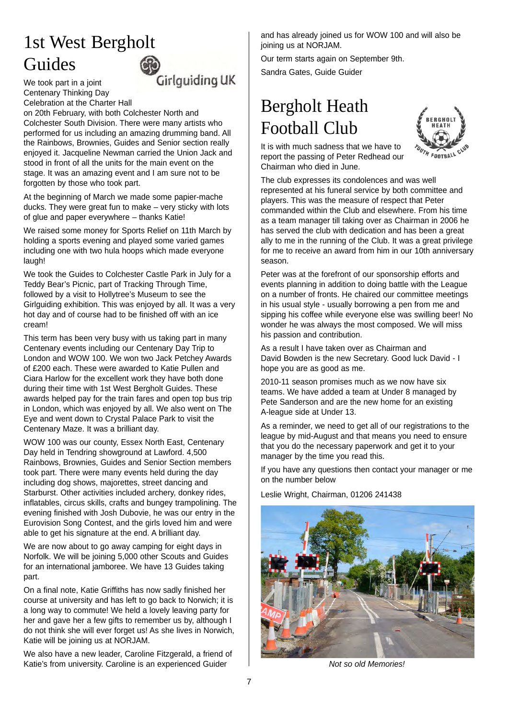# 1st West Bergholt Guides

We took part in a joint Centenary Thinking Day Celebration at the Charter Hall

Girlguiding UK

on 20th February, with both Colchester North and Colchester South Division. There were many artists who performed for us including an amazing drumming band. All the Rainbows, Brownies, Guides and Senior section really enjoyed it. Jacqueline Newman carried the Union Jack and stood in front of all the units for the main event on the stage. It was an amazing event and I am sure not to be forgotten by those who took part.

At the beginning of March we made some papier-mache ducks. They were great fun to make – very sticky with lots of glue and paper everywhere – thanks Katie!

We raised some money for Sports Relief on 11th March by holding a sports evening and played some varied games including one with two hula hoops which made everyone laugh!

We took the Guides to Colchester Castle Park in July for a Teddy Bear's Picnic, part of Tracking Through Time, followed by a visit to Hollytree's Museum to see the Girlguiding exhibition. This was enjoyed by all. It was a very hot day and of course had to be finished off with an ice cream!

This term has been very busy with us taking part in many Centenary events including our Centenary Day Trip to London and WOW 100. We won two Jack Petchey Awards of £200 each. These were awarded to Katie Pullen and Ciara Harlow for the excellent work they have both done during their time with 1st West Bergholt Guides. These awards helped pay for the train fares and open top bus trip in London, which was enjoyed by all. We also went on The Eye and went down to Crystal Palace Park to visit the Centenary Maze. It was a brilliant day.

WOW 100 was our county, Essex North East, Centenary Day held in Tendring showground at Lawford. 4,500 Rainbows, Brownies, Guides and Senior Section members took part. There were many events held during the day including dog shows, majorettes, street dancing and Starburst. Other activities included archery, donkey rides, inflatables, circus skills, crafts and bungey trampolining. The evening finished with Josh Dubovie, he was our entry in the Eurovision Song Contest, and the girls loved him and were able to get his signature at the end. A brilliant day.

We are now about to go away camping for eight days in Norfolk. We will be joining 5,000 other Scouts and Guides for an international jamboree. We have 13 Guides taking part.

On a final note, Katie Griffiths has now sadly finished her course at university and has left to go back to Norwich; it is a long way to commute! We held a lovely leaving party for her and gave her a few gifts to remember us by, although I do not think she will ever forget us! As she lives in Norwich, Katie will be joining us at NORJAM.

We also have a new leader, Caroline Fitzgerald, a friend of Katie's from university. Caroline is an experienced Guider

and has already joined us for WOW 100 and will also be joining us at NORJAM.

Our term starts again on September 9th.

Sandra Gates, Guide Guider

# Bergholt Heath Football Club

It is with much sadness that we have to report the passing of Peter Redhead our Chairman who died in June.



The club expresses its condolences and was well represented at his funeral service by both committee and players. This was the measure of respect that Peter commanded within the Club and elsewhere. From his time as a team manager till taking over as Chairman in 2006 he has served the club with dedication and has been a great ally to me in the running of the Club. It was a great privilege for me to receive an award from him in our 10th anniversary season.

Peter was at the forefront of our sponsorship efforts and events planning in addition to doing battle with the League on a number of fronts. He chaired our committee meetings in his usual style - usually borrowing a pen from me and sipping his coffee while everyone else was swilling beer! No wonder he was always the most composed. We will miss his passion and contribution.

As a result I have taken over as Chairman and David Bowden is the new Secretary. Good luck David - I hope you are as good as me.

2010-11 season promises much as we now have six teams. We have added a team at Under 8 managed by Pete Sanderson and are the new home for an existing A-league side at Under 13.

As a reminder, we need to get all of our registrations to the league by mid-August and that means you need to ensure that you do the necessary paperwork and get it to your manager by the time you read this.

If you have any questions then contact your manager or me on the number below

Leslie Wright, Chairman, 01206 241438



*Not so old Memories!*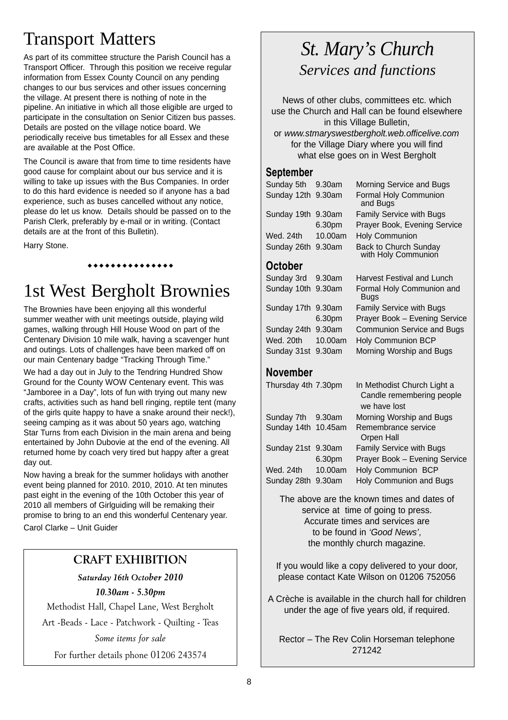### Transport Matters

As part of its committee structure the Parish Council has a Transport Officer. Through this position we receive regular information from Essex County Council on any pending changes to our bus services and other issues concerning the village. At present there is nothing of note in the pipeline. An initiative in which all those eligible are urged to participate in the consultation on Senior Citizen bus passes. Details are posted on the village notice board. We periodically receive bus timetables for all Essex and these are available at the Post Office.

The Council is aware that from time to time residents have good cause for complaint about our bus service and it is willing to take up issues with the Bus Companies. In order to do this hard evidence is needed so if anyone has a bad experience, such as buses cancelled without any notice, please do let us know. Details should be passed on to the Parish Clerk, preferably by e-mail or in writing. (Contact details are at the front of this Bulletin).

Harry Stone.

#### \*\*\*\*\*\*\*\*\*\*\*\*\*

### 1st West Bergholt Brownies

The Brownies have been enjoying all this wonderful summer weather with unit meetings outside, playing wild games, walking through Hill House Wood on part of the Centenary Division 10 mile walk, having a scavenger hunt and outings. Lots of challenges have been marked off on our main Centenary badge "Tracking Through Time."

We had a day out in July to the Tendring Hundred Show Ground for the County WOW Centenary event. This was "Jamboree in a Day", lots of fun with trying out many new crafts, activities such as hand bell ringing, reptile tent (many of the girls quite happy to have a snake around their neck!), seeing camping as it was about 50 years ago, watching Star Turns from each Division in the main arena and being entertained by John Dubovie at the end of the evening. All returned home by coach very tired but happy after a great day out.

Now having a break for the summer holidays with another event being planned for 2010. 2010, 2010. At ten minutes past eight in the evening of the 10th October this year of 2010 all members of Girlguiding will be remaking their promise to bring to an end this wonderful Centenary year. Carol Clarke – Unit Guider

### **CRAFT EXHIBITION**

*Saturday 16th October 2010*

*10.30am - 5.30pm*

Methodist Hall, Chapel Lane, West Bergholt

Art -Beads - Lace - Patchwork - Quilting - Teas

*Some items for sale*

For further details phone 01206 243574

### *St. Mary's Church Services and functions*

News of other clubs, committees etc. which use the Church and Hall can be found elsewhere in this Village Bulletin, or *www.stmaryswestbergholt.web.officelive.com* for the Village Diary where you will find what else goes on in West Bergholt

### **September**

| Sunday 5th 9.30am  |         | Morning Service and Bugs                     |
|--------------------|---------|----------------------------------------------|
| Sunday 12th 9.30am |         | Formal Holy Communion<br>and Bugs            |
| Sunday 19th 9.30am |         | Family Service with Bugs                     |
|                    | 6.30pm  | Prayer Book, Evening Service                 |
| Wed. 24th          | 10.00am | <b>Holy Communion</b>                        |
| Sunday 26th 9.30am |         | Back to Church Sunday<br>with Holy Communion |
| <b>Ootohor</b>     |         |                                              |

### **October**

| Sunday 3rd 9.30am  |         | Harvest Festival and Lunch               |
|--------------------|---------|------------------------------------------|
| Sunday 10th 9.30am |         | Formal Holy Communion and<br><b>Bugs</b> |
| Sunday 17th 9.30am |         | Family Service with Bugs                 |
|                    | 6.30pm  | Prayer Book - Evening Service            |
| Sunday 24th 9.30am |         | <b>Communion Service and Bugs</b>        |
| Wed. 20th          | 10.00am | <b>Holy Communion BCP</b>                |
| Sunday 31st 9.30am |         | Morning Worship and Bugs                 |
|                    |         |                                          |

### **November**

| Thursday 4th 7.30pm |         | In Methodist Church Light a<br>Candle remembering people<br>we have lost |
|---------------------|---------|--------------------------------------------------------------------------|
| Sunday 7th 9.30am   |         | Morning Worship and Bugs                                                 |
| Sunday 14th 10.45am |         | Remembrance service                                                      |
|                     |         | Orpen Hall                                                               |
| Sunday 21st 9.30am  |         | <b>Family Service with Bugs</b>                                          |
|                     | 6.30pm  | Prayer Book - Evening Service                                            |
| Wed. 24th           | 10.00am | Holy Communion BCP                                                       |
| Sunday 28th 9.30am  |         | Holy Communion and Bugs                                                  |
|                     |         |                                                                          |

The above are the known times and dates of service at time of going to press. Accurate times and services are to be found in *'Good News'*, the monthly church magazine.

If you would like a copy delivered to your door, please contact Kate Wilson on 01206 752056

A Crèche is available in the church hall for children under the age of five years old, if required.

Rector – The Rev Colin Horseman telephone 271242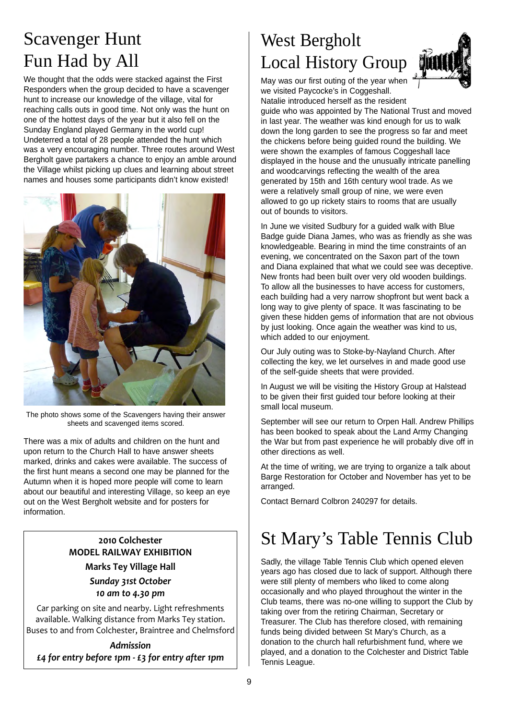# Scavenger Hunt Fun Had by All

We thought that the odds were stacked against the First Responders when the group decided to have a scavenger hunt to increase our knowledge of the village, vital for reaching calls outs in good time. Not only was the hunt on one of the hottest days of the year but it also fell on the Sunday England played Germany in the world cup! Undeterred a total of 28 people attended the hunt which was a very encouraging number. Three routes around West Bergholt gave partakers a chance to enjoy an amble around the Village whilst picking up clues and learning about street names and houses some participants didn't know existed!



The photo shows some of the Scavengers having their answer sheets and scavenged items scored.

There was a mix of adults and children on the hunt and upon return to the Church Hall to have answer sheets marked, drinks and cakes were available. The success of the first hunt means a second one may be planned for the Autumn when it is hoped more people will come to learn about our beautiful and interesting Village, so keep an eye out on the West Bergholt website and for posters for information.

### 2010 Colchester **MODEL RAILWAY EXHIBITION Marks Tey Village Hall**

Sunday 31st October 10 am to 4.30 pm

Car parking on site and nearby. Light refreshments available. Walking distance from Marks Tey station. Buses to and from Colchester, Braintree and Chelmsford

Admission £4 for entry before 1pm - £3 for entry after 1pm

# West Bergholt Local History Group



May was our first outing of the year when we visited Paycocke's in Coggeshall. Natalie introduced herself as the resident

guide who was appointed by The National Trust and moved in last year. The weather was kind enough for us to walk down the long garden to see the progress so far and meet the chickens before being guided round the building. We were shown the examples of famous Coggeshall lace displayed in the house and the unusually intricate panelling and woodcarvings reflecting the wealth of the area generated by 15th and 16th century wool trade. As we were a relatively small group of nine, we were even allowed to go up rickety stairs to rooms that are usually out of bounds to visitors.

In June we visited Sudbury for a guided walk with Blue Badge guide Diana James, who was as friendly as she was knowledgeable. Bearing in mind the time constraints of an evening, we concentrated on the Saxon part of the town and Diana explained that what we could see was deceptive. New fronts had been built over very old wooden buildings. To allow all the businesses to have access for customers, each building had a very narrow shopfront but went back a long way to give plenty of space. It was fascinating to be given these hidden gems of information that are not obvious by just looking. Once again the weather was kind to us, which added to our enjoyment.

Our July outing was to Stoke-by-Nayland Church. After collecting the key, we let ourselves in and made good use of the self-guide sheets that were provided.

In August we will be visiting the History Group at Halstead to be given their first guided tour before looking at their small local museum.

September will see our return to Orpen Hall. Andrew Phillips has been booked to speak about the Land Army Changing the War but from past experience he will probably dive off in other directions as well.

At the time of writing, we are trying to organize a talk about Barge Restoration for October and November has yet to be arranged.

Contact Bernard Colbron 240297 for details.

## St Mary's Table Tennis Club

Sadly, the village Table Tennis Club which opened eleven years ago has closed due to lack of support. Although there were still plenty of members who liked to come along occasionally and who played throughout the winter in the Club teams, there was no-one willing to support the Club by taking over from the retiring Chairman, Secretary or Treasurer. The Club has therefore closed, with remaining funds being divided between St Mary's Church, as a donation to the church hall refurbishment fund, where we played, and a donation to the Colchester and District Table Tennis League.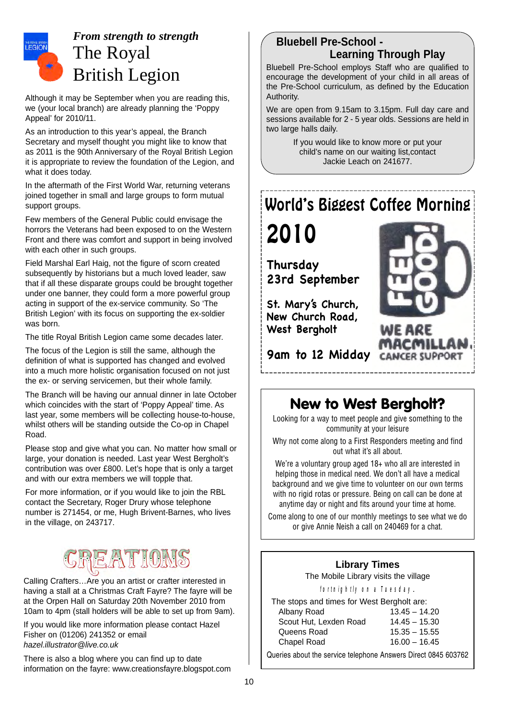

### *From strength to strength* The Royal British Legion

Although it may be September when you are reading this, we (your local branch) are already planning the 'Poppy Appeal' for 2010/11.

As an introduction to this year's appeal, the Branch Secretary and myself thought you might like to know that as 2011 is the 90th Anniversary of the Royal British Legion it is appropriate to review the foundation of the Legion, and what it does today.

In the aftermath of the First World War, returning veterans joined together in small and large groups to form mutual support groups.

Few members of the General Public could envisage the horrors the Veterans had been exposed to on the Western Front and there was comfort and support in being involved with each other in such groups.

Field Marshal Earl Haig, not the figure of scorn created subsequently by historians but a much loved leader, saw that if all these disparate groups could be brought together under one banner, they could form a more powerful group acting in support of the ex-service community. So 'The British Legion' with its focus on supporting the ex-soldier was born.

The title Royal British Legion came some decades later.

The focus of the Legion is still the same, although the definition of what is supported has changed and evolved into a much more holistic organisation focused on not just the ex- or serving servicemen, but their whole family.

The Branch will be having our annual dinner in late October which coincides with the start of 'Poppy Appeal' time. As last year, some members will be collecting house-to-house, whilst others will be standing outside the Co-op in Chapel Road.

Please stop and give what you can. No matter how small or large, your donation is needed. Last year West Bergholt's contribution was over £800. Let's hope that is only a target and with our extra members we will topple that.

For more information, or if you would like to join the RBL contact the Secretary, Roger Drury whose telephone number is 271454, or me, Hugh Brivent-Barnes, who lives in the village, on 243717.

# REATIONS

Calling Crafters…Are you an artist or crafter interested in having a stall at a Christmas Craft Fayre? The fayre will be at the Orpen Hall on Saturday 20th November 2010 from 10am to 4pm (stall holders will be able to set up from 9am).

If you would like more information please contact Hazel Fisher on (01206) 241352 or email *hazel.illustrator@live.co.uk*

There is also a blog where you can find up to date information on the fayre: www.creationsfayre.blogspot.com

### **Bluebell Pre-School - Learning Through Play**

Bluebell Pre-School employs Staff who are qualified to encourage the development of your child in all areas of the Pre-School curriculum, as defined by the Education Authority.

We are open from 9.15am to 3.15pm. Full day care and sessions available for 2 - 5 year olds. Sessions are held in two large halls daily.

> If you would like to know more or put your child's name on our waiting list,contact Jackie Leach on 241677.

### World's Biggest Coffee Morning

2010

**Thursday 23rd September**

**St. Mary's Church, New Church Road, West Bergholt**



**9am to 12 Midday**

### New to West Bergholt?

Looking for a way to meet people and give something to the community at your leisure

Why not come along to a First Responders meeting and find out what it's all about.

We're a voluntary group aged 18+ who all are interested in helping those in medical need. We don't all have a medical background and we give time to volunteer on our own terms with no rigid rotas or pressure. Being on call can be done at anytime day or night and fits around your time at home.

Come along to one of our monthly meetings to see what we do or give Annie Neish a call on 240469 for a chat.

### **Library Times**

The Mobile Library visits the village

#### *fortnightly on a Tuesday*.

The stops and times for West Bergholt are: Albany Road 13.45 – 14.20 Scout Hut, Lexden Road Queens Road

Chapel Road

| d | 14.45 - 15.30   |
|---|-----------------|
|   | $15.35 - 15.55$ |
|   | $16.00 - 16.45$ |

Queries about the service telephone Answers Direct 0845 603762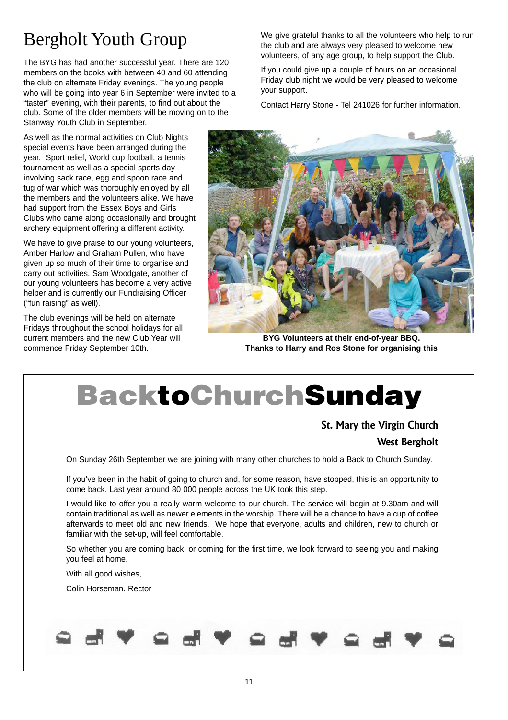# Bergholt Youth Group

The BYG has had another successful year. There are 120 members on the books with between 40 and 60 attending the club on alternate Friday evenings. The young people who will be going into year 6 in September were invited to a "taster" evening, with their parents, to find out about the club. Some of the older members will be moving on to the Stanway Youth Club in September.

As well as the normal activities on Club Nights special events have been arranged during the year. Sport relief, World cup football, a tennis tournament as well as a special sports day involving sack race, egg and spoon race and tug of war which was thoroughly enjoyed by all the members and the volunteers alike. We have had support from the Essex Boys and Girls Clubs who came along occasionally and brought archery equipment offering a different activity.

We have to give praise to our young volunteers, Amber Harlow and Graham Pullen, who have given up so much of their time to organise and carry out activities. Sam Woodgate, another of our young volunteers has become a very active helper and is currently our Fundraising Officer ("fun raising" as well).

The club evenings will be held on alternate Fridays throughout the school holidays for all current members and the new Club Year will commence Friday September 10th.

We give grateful thanks to all the volunteers who help to run the club and are always very pleased to welcome new volunteers, of any age group, to help support the Club.

If you could give up a couple of hours on an occasional Friday club night we would be very pleased to welcome your support.

Contact Harry Stone - Tel 241026 for further information.



**BYG Volunteers at their end-of-year BBQ. Thanks to Harry and Ros Stone for organising this**

# BacktoChurchSunday

**St. Mary the Virgin Church West Bergholt**

On Sunday 26th September we are joining with many other churches to hold a Back to Church Sunday.

If you've been in the habit of going to church and, for some reason, have stopped, this is an opportunity to come back. Last year around 80 000 people across the UK took this step.

I would like to offer you a really warm welcome to our church. The service will begin at 9.30am and will contain traditional as well as newer elements in the worship. There will be a chance to have a cup of coffee afterwards to meet old and new friends. We hope that everyone, adults and children, new to church or familiar with the set-up, will feel comfortable.

So whether you are coming back, or coming for the first time, we look forward to seeing you and making you feel at home.

With all good wishes,

Colin Horseman. Rector

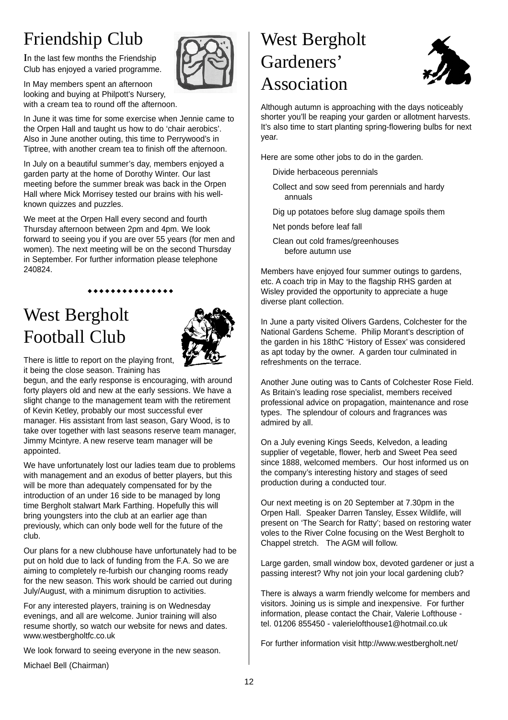# Friendship Club

In the last few months the Friendship Club has enjoyed a varied programme.

In May members spent an afternoon looking and buying at Philpott's Nursery, with a cream tea to round off the afternoon.

In June it was time for some exercise when Jennie came to the Orpen Hall and taught us how to do 'chair aerobics'. Also in June another outing, this time to Perrywood's in Tiptree, with another cream tea to finish off the afternoon.

In July on a beautiful summer's day, members enjoyed a garden party at the home of Dorothy Winter. Our last meeting before the summer break was back in the Orpen Hall where Mick Morrisey tested our brains with his wellknown quizzes and puzzles.

We meet at the Orpen Hall every second and fourth Thursday afternoon between 2pm and 4pm. We look forward to seeing you if you are over 55 years (for men and women). The next meeting will be on the second Thursday in September. For further information please telephone 240824.

#### \*\*\*\*\*\*\*\*\*\*\*\*\*

### West Bergholt Football Club



There is little to report on the playing front, it being the close season. Training has

begun, and the early response is encouraging, with around forty players old and new at the early sessions. We have a slight change to the management team with the retirement of Kevin Ketley, probably our most successful ever manager. His assistant from last season, Gary Wood, is to take over together with last seasons reserve team manager, Jimmy Mcintyre. A new reserve team manager will be appointed.

We have unfortunately lost our ladies team due to problems with management and an exodus of better players, but this will be more than adequately compensated for by the introduction of an under 16 side to be managed by long time Bergholt stalwart Mark Farthing. Hopefully this will bring youngsters into the club at an earlier age than previously, which can only bode well for the future of the club.

Our plans for a new clubhouse have unfortunately had to be put on hold due to lack of funding from the F.A. So we are aiming to completely re-furbish our changing rooms ready for the new season. This work should be carried out during July/August, with a minimum disruption to activities.

For any interested players, training is on Wednesday evenings, and all are welcome. Junior training will also resume shortly, so watch our website for news and dates. www.westbergholtfc.co.uk

We look forward to seeing everyone in the new season.

Michael Bell (Chairman)

# West Bergholt Gardeners' Association



Although autumn is approaching with the days noticeably shorter you'll be reaping your garden or allotment harvests. It's also time to start planting spring-flowering bulbs for next year.

Here are some other jobs to do in the garden.

- Divide herbaceous perennials
- Collect and sow seed from perennials and hardy annuals
- Dig up potatoes before slug damage spoils them
- Net ponds before leaf fall
- Clean out cold frames/greenhouses before autumn use

Members have enjoyed four summer outings to gardens, etc. A coach trip in May to the flagship RHS garden at Wisley provided the opportunity to appreciate a huge diverse plant collection.

In June a party visited Olivers Gardens, Colchester for the National Gardens Scheme. Philip Morant's description of the garden in his 18thC 'History of Essex' was considered as apt today by the owner. A garden tour culminated in refreshments on the terrace.

Another June outing was to Cants of Colchester Rose Field. As Britain's leading rose specialist, members received professional advice on propagation, maintenance and rose types. The splendour of colours and fragrances was admired by all.

On a July evening Kings Seeds, Kelvedon, a leading supplier of vegetable, flower, herb and Sweet Pea seed since 1888, welcomed members. Our host informed us on the company's interesting history and stages of seed production during a conducted tour.

Our next meeting is on 20 September at 7.30pm in the Orpen Hall. Speaker Darren Tansley, Essex Wildlife, will present on 'The Search for Ratty'; based on restoring water voles to the River Colne focusing on the West Bergholt to Chappel stretch. The AGM will follow.

Large garden, small window box, devoted gardener or just a passing interest? Why not join your local gardening club?

There is always a warm friendly welcome for members and visitors. Joining us is simple and inexpensive. For further information, please contact the Chair, Valerie Lofthouse tel. 01206 855450 - valerielofthouse1@hotmail.co.uk

For further information visit http://www.westbergholt.net/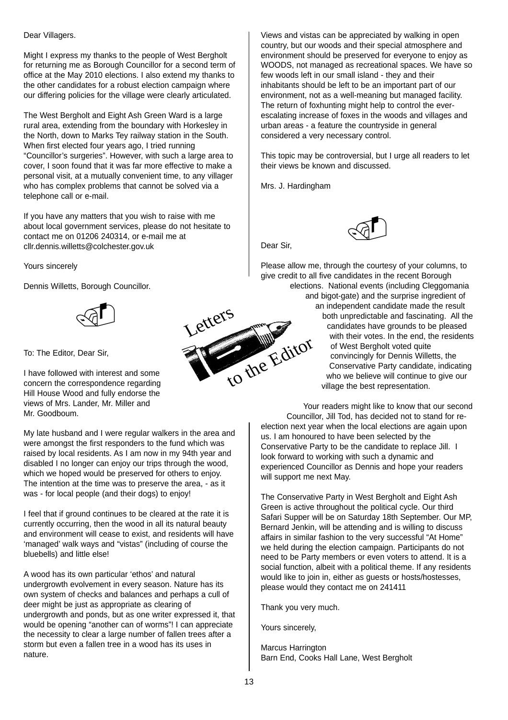#### Dear Villagers.

Might I express my thanks to the people of West Bergholt for returning me as Borough Councillor for a second term of office at the May 2010 elections. I also extend my thanks to the other candidates for a robust election campaign where our differing policies for the village were clearly articulated.

The West Bergholt and Eight Ash Green Ward is a large rural area, extending from the boundary with Horkesley in the North, down to Marks Tey railway station in the South. When first elected four years ago, I tried running "Councillor's surgeries". However, with such a large area to cover, I soon found that it was far more effective to make a personal visit, at a mutually convenient time, to any villager who has complex problems that cannot be solved via a telephone call or e-mail.

If you have any matters that you wish to raise with me about local government services, please do not hesitate to contact me on 01206 240314, or e-mail me at cllr.dennis.willetts@colchester.gov.uk

Yours sincerely

Dennis Willetts, Borough Councillor.



To: The Editor, Dear Sir,

I have followed with interest and some concern the correspondence regarding Hill House Wood and fully endorse the views of Mrs. Lander, Mr. Miller and Mr. Goodboum.

My late husband and I were regular walkers in the area and were amongst the first responders to the fund which was raised by local residents. As I am now in my 94th year and disabled I no longer can enjoy our trips through the wood, which we hoped would be preserved for others to enjoy. The intention at the time was to preserve the area, - as it was - for local people (and their dogs) to enjoy!

I feel that if ground continues to be cleared at the rate it is currently occurring, then the wood in all its natural beauty and environment will cease to exist, and residents will have 'managed' walk ways and "vistas" (including of course the bluebells) and little else!

A wood has its own particular 'ethos' and natural undergrowth evolvement in every season. Nature has its own system of checks and balances and perhaps a cull of deer might be just as appropriate as clearing of undergrowth and ponds, but as one writer expressed it, that would be opening "another can of worms"! I can appreciate the necessity to clear a large number of fallen trees after a storm but even a fallen tree in a wood has its uses in nature.

Views and vistas can be appreciated by walking in open country, but our woods and their special atmosphere and environment should be preserved for everyone to enjoy as WOODS, not managed as recreational spaces. We have so few woods left in our small island - they and their inhabitants should be left to be an important part of our environment, not as a well-meaning but managed facility. The return of foxhunting might help to control the everescalating increase of foxes in the woods and villages and urban areas - a feature the countryside in general considered a very necessary control.

This topic may be controversial, but I urge all readers to let their views be known and discussed.

Mrs. J. Hardingham



Dear Sir,

Please allow me, through the courtesy of your columns, to give credit to all five candidates in the recent Borough elections. National events (including Cleggomania and bigot-gate) and the surprise ingredient of an independent candidate made the result both unpredictable and fascinating. All the candidates have grounds to be pleased with their votes. In the end, the residents of West Bergholt voted quite convincingly for Dennis Willetts, the Conservative Party candidate, indicating who we believe will continue to give our

village the best representation.

Your readers might like to know that our second Councillor, Jill Tod, has decided not to stand for reelection next year when the local elections are again upon us. I am honoured to have been selected by the Conservative Party to be the candidate to replace Jill. I look forward to working with such a dynamic and experienced Councillor as Dennis and hope your readers will support me next May.

The Conservative Party in West Bergholt and Eight Ash Green is active throughout the political cycle. Our third Safari Supper will be on Saturday 18th September. Our MP, Bernard Jenkin, will be attending and is willing to discuss affairs in similar fashion to the very successful "At Home" we held during the election campaign. Participants do not need to be Party members or even voters to attend. It is a social function, albeit with a political theme. If any residents would like to join in, either as guests or hosts/hostesses, please would they contact me on 241411

Thank you very much.

Yours sincerely,

Marcus Harrington Barn End, Cooks Hall Lane, West Bergholt